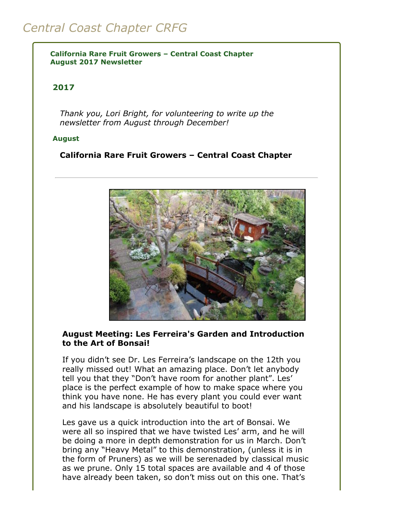# *Central Coast Chapter CRFG*

**California Rare Fruit Growers – Central Coast Chapter August 2017 Newsletter**

### **2017**

*Thank you, Lori Bright, for volunteering to write up the newsletter from August through December!*

#### **August**

#### **California Rare Fruit Growers – Central Coast Chapter**



#### **August Meeting: Les Ferreira's Garden and Introduction to the Art of Bonsai!**

If you didn't see Dr. Les Ferreira's landscape on the 12th you really missed out! What an amazing place. Don't let anybody tell you that they "Don't have room for another plant". Les' place is the perfect example of how to make space where you think you have none. He has every plant you could ever want and his landscape is absolutely beautiful to boot!

Les gave us a quick introduction into the art of Bonsai. We were all so inspired that we have twisted Les' arm, and he will be doing a more in depth demonstration for us in March. Don't bring any "Heavy Metal" to this demonstration, (unless it is in the form of Pruners) as we will be serenaded by classical music as we prune. Only 15 total spaces are available and 4 of those have already been taken, so don't miss out on this one. That's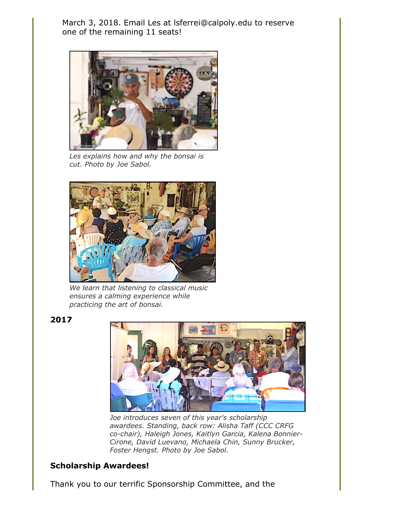March 3, 2018. Email Les at lsferrei@calpoly.edu to reserve one of the remaining 11 seats!



*Les explains how and why the bonsai is cut. Photo by Joe Sabol.*



*We learn that listening to classical music ensures a calming experience while practicing the art of bonsai.*

**2017**



*Joe introduces seven of this year's scholarship awardees. Standing, back row: Alisha Taff (CCC CRFG co-chair), Haleigh Jones, Kaitlyn Garcia, Kalena Bonnier-Cirone, David Luevano, Michaela Chin, Sunny Brucker, Foster Hengst. Photo by Joe Sabol.*

# **Scholarship Awardees!**

Thank you to our terrific Sponsorship Committee, and the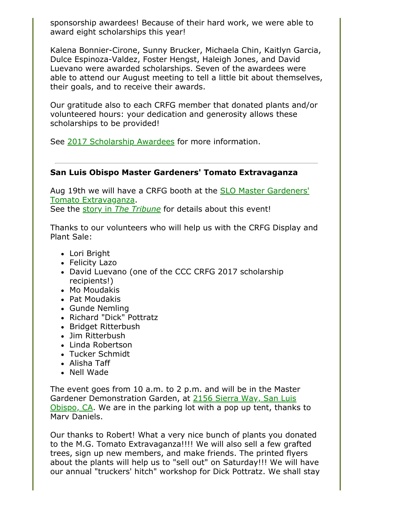sponsorship awardees! Because of their hard work, we were able to award eight scholarships this year!

Kalena Bonnier-Cirone, Sunny Brucker, Michaela Chin, Kaitlyn Garcia, Dulce Espinoza-Valdez, Foster Hengst, Haleigh Jones, and David Luevano were awarded scholarships. Seven of the awardees were able to attend our August meeting to tell a little bit about themselves, their goals, and to receive their awards.

Our gratitude also to each CRFG member that donated plants and/or volunteered hours: your dedication and generosity allows these scholarships to be provided!

See [2017 Scholarship Awardees](file:///Users/daramanker/Documents/CRFG/Website/Newsletters/aboutCRFG.html#2017Scholarships) for more information.

# **San Luis Obispo Master Gardeners' Tomato Extravaganza**

[Aug 19th we will have a CRFG booth at the SLO Master Gardeners'](http://ucanr.edu/blogs/blogcore/postdetail.cfm?postnum=24905) Tomato Extravaganza.

See the story in *[The Tribune](http://www.sanluisobispo.com/living/home-garden/article167507737.html)* for details about this event!

Thanks to our volunteers who will help us with the CRFG Display and Plant Sale:

- Lori Bright
- Felicity Lazo
- David Luevano (one of the CCC CRFG 2017 scholarship recipients!)
- Mo Moudakis
- Pat Moudakis
- Gunde Nemling
- Richard "Dick" Pottratz
- Bridget Ritterbush
- Jim Ritterbush
- Linda Robertson
- Tucker Schmidt
- Alisha Taff
- Nell Wade

The event goes from 10 a.m. to 2 p.m. and will be in the Master Gardener Demonstration Garden, at 2156 Sierra Way, San Luis [Obispo, CA. We are in the parking lot with a pop up tent, thanks](https://www.google.com/maps/dir/2156A,+2156+Sierra+Way,+San+Luis+Obispo,+CA+93401/35.2748395,-120.6483259/@35.2760919,-120.6565164,1483m/data=!3m1!1e3!4m8!4m7!1m5!1m1!1s0x80ecf114363a9675:0x2b9e0c1e3a9d7cc8!2m2!1d-120.6473987!2d35.2741883!1m0) to Marv Daniels.

Our thanks to Robert! What a very nice bunch of plants you donated to the M.G. Tomato Extravaganza!!!! We will also sell a few grafted trees, sign up new members, and make friends. The printed flyers about the plants will help us to "sell out" on Saturday!!! We will have our annual "truckers' hitch" workshop for Dick Pottratz. We shall stay